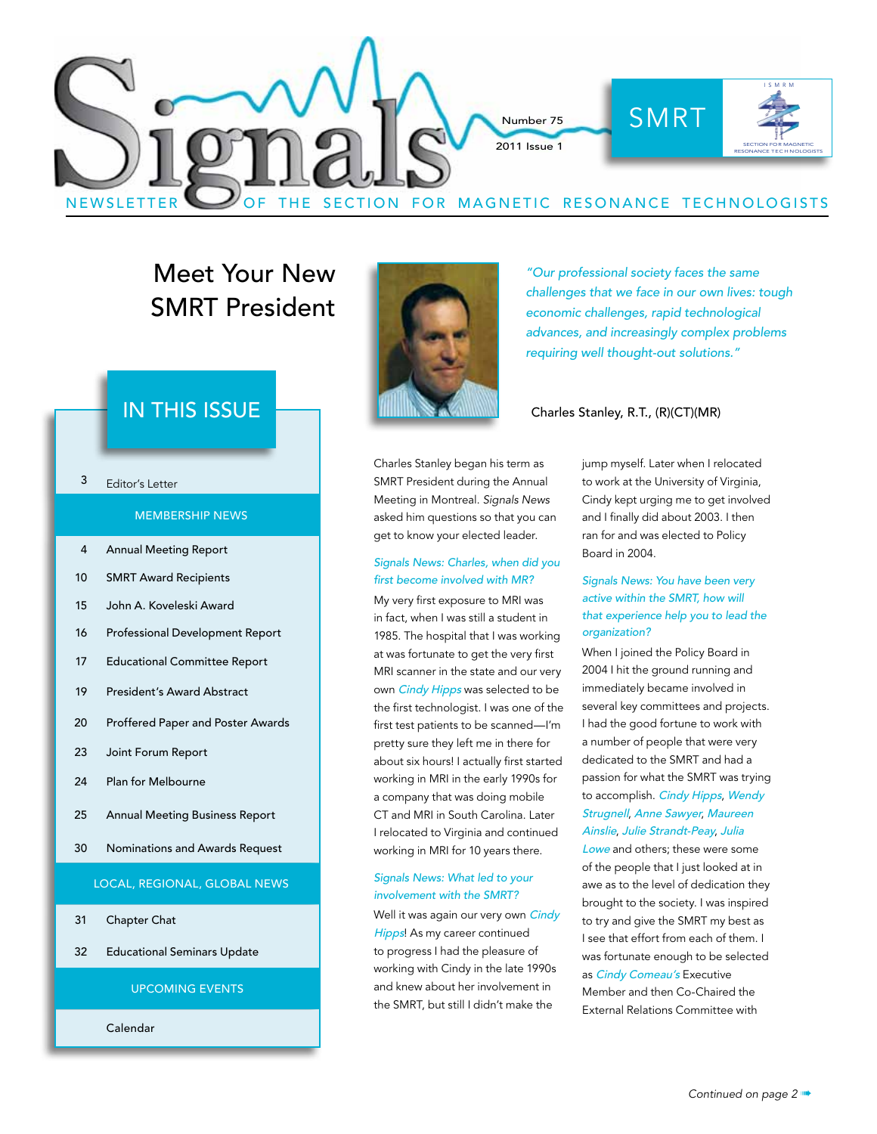

## Meet Your New SMRT President

## $\overline{IN}$   $\overline{THIS}$   $\overline{ISSUE}$   $\overline{I}$   $\overline{II}$   $\overline{II}$   $\overline{II}$   $\overline{II}$   $\overline{II}$   $\overline{II}$   $\overline{II}$   $\overline{II}$   $\overline{II}$   $\overline{II}$   $\overline{II}$   $\overline{II}$   $\overline{II}$   $\overline{II}$   $\overline{II}$   $\overline{II}$   $\overline{II}$   $\overline{II}$   $\overline{II}$   $\overline{II}$   $\$

#### 3 Editor's Letter

#### MEMBERSHIP NEWS

- 4 Annual Meeting Report
- 10 SMRT Award Recipients
- 15 John A. Koveleski Award
- 16 Professional Development Report
- 17 Educational Committee Report
- 19 President's Award Abstract
- 20 Proffered Paper and Poster Awards
- 23 Joint Forum Report
- 24 Plan for Melbourne
- 25 Annual Meeting Business Report
- 30 Nominations and Awards Request

#### LOCAL, REGIONAL, GLOBAL NEWS

- 31 Chapter Chat
- 32 Educational Seminars Update

#### UPCOMING EVENTS

Calendar



"Our professional society faces the same challenges that we face in our own lives: tough economic challenges, rapid technological advances, and increasingly complex problems requiring well thought-out solutions."

Charles Stanley began his term as SMRT President during the Annual Meeting in Montreal. *Signals News* asked him questions so that you can get to know your elected leader.

#### Signals News: Charles, when did you first become involved with MR?

My very first exposure to MRI was in fact, when I was still a student in 1985. The hospital that I was working at was fortunate to get the very first MRI scanner in the state and our very own Cindy Hipps was selected to be the first technologist. I was one of the first test patients to be scanned—I'm pretty sure they left me in there for about six hours! I actually first started working in MRI in the early 1990s for a company that was doing mobile CT and MRI in South Carolina. Later I relocated to Virginia and continued working in MRI for 10 years there.

#### Signals News: What led to your involvement with the SMRT?

Well it was again our very own Cindy Hipps! As my career continued to progress I had the pleasure of working with Cindy in the late 1990s and knew about her involvement in the SMRT, but still I didn't make the

jump myself. Later when I relocated to work at the University of Virginia, Cindy kept urging me to get involved and I finally did about 2003. I then ran for and was elected to Policy Board in 2004.

#### Signals News: You have been very active within the SMRT, how will that experience help you to lead the organization?

When I joined the Policy Board in 2004 I hit the ground running and immediately became involved in several key committees and projects. I had the good fortune to work with a number of people that were very dedicated to the SMRT and had a passion for what the SMRT was trying to accomplish. Cindy Hipps, Wendy Strugnell, Anne Sawyer, Maureen Ainslie, Julie Strandt-Peay, Julia

Lowe and others; these were some of the people that I just looked at in awe as to the level of dedication they brought to the society. I was inspired to try and give the SMRT my best as I see that effort from each of them. I was fortunate enough to be selected as Cindy Comeau's Executive Member and then Co-Chaired the External Relations Committee with